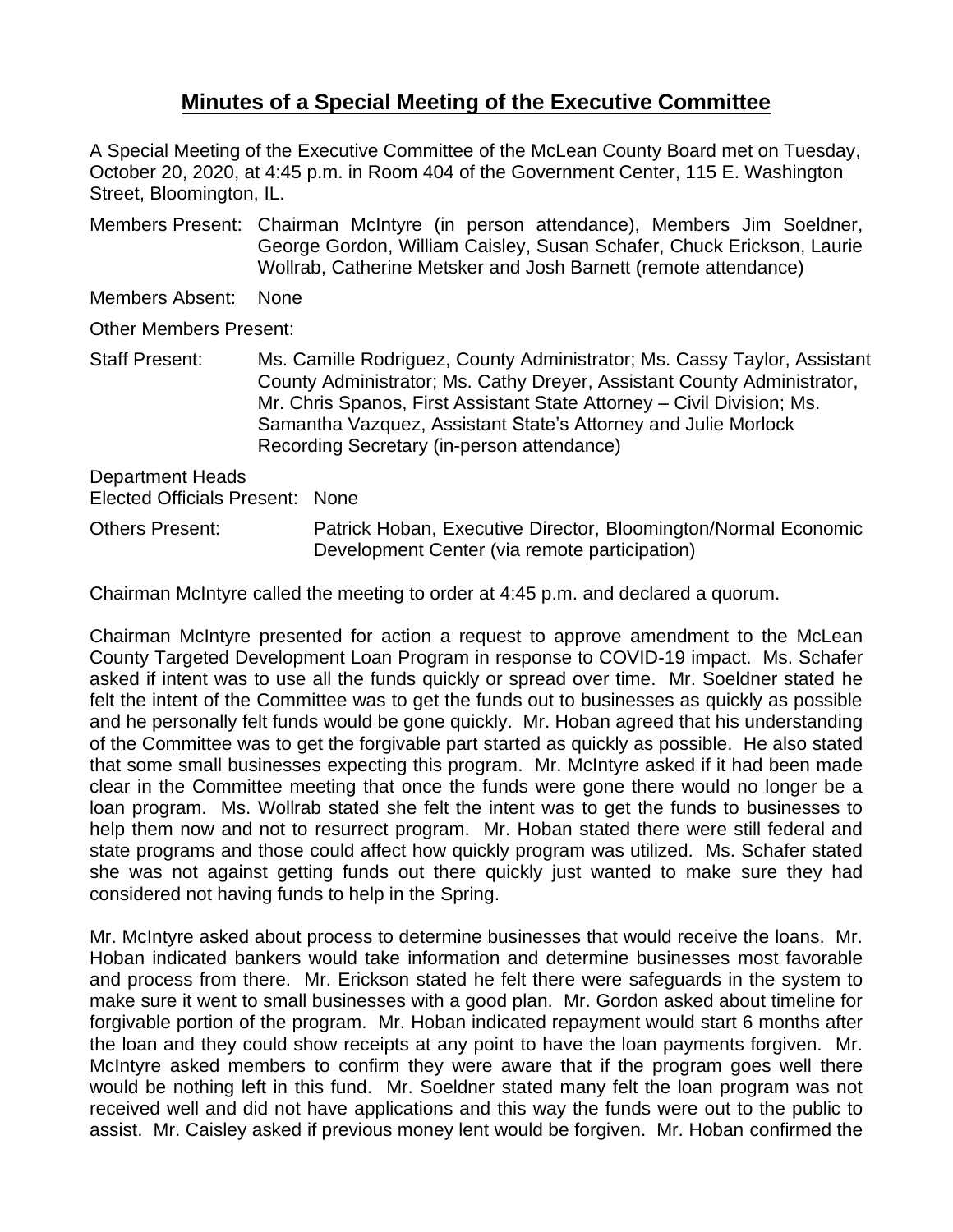## **Minutes of a Special Meeting of the Executive Committee**

A Special Meeting of the Executive Committee of the McLean County Board met on Tuesday, October 20, 2020, at 4:45 p.m. in Room 404 of the Government Center, 115 E. Washington Street, Bloomington, IL.

Members Present: Chairman McIntyre (in person attendance), Members Jim Soeldner, George Gordon, William Caisley, Susan Schafer, Chuck Erickson, Laurie Wollrab, Catherine Metsker and Josh Barnett (remote attendance)

Members Absent: None

Other Members Present:

Staff Present: Ms. Camille Rodriguez, County Administrator; Ms. Cassy Taylor, Assistant County Administrator; Ms. Cathy Dreyer, Assistant County Administrator, Mr. Chris Spanos, First Assistant State Attorney – Civil Division; Ms. Samantha Vazquez, Assistant State's Attorney and Julie Morlock Recording Secretary (in-person attendance)

Department Heads Elected Officials Present: None

Others Present: Patrick Hoban, Executive Director, Bloomington/Normal Economic Development Center (via remote participation)

Chairman McIntyre called the meeting to order at 4:45 p.m. and declared a quorum.

Chairman McIntyre presented for action a request to approve amendment to the McLean County Targeted Development Loan Program in response to COVID-19 impact. Ms. Schafer asked if intent was to use all the funds quickly or spread over time. Mr. Soeldner stated he felt the intent of the Committee was to get the funds out to businesses as quickly as possible and he personally felt funds would be gone quickly. Mr. Hoban agreed that his understanding of the Committee was to get the forgivable part started as quickly as possible. He also stated that some small businesses expecting this program. Mr. McIntyre asked if it had been made clear in the Committee meeting that once the funds were gone there would no longer be a loan program. Ms. Wollrab stated she felt the intent was to get the funds to businesses to help them now and not to resurrect program. Mr. Hoban stated there were still federal and state programs and those could affect how quickly program was utilized. Ms. Schafer stated she was not against getting funds out there quickly just wanted to make sure they had considered not having funds to help in the Spring.

Mr. McIntyre asked about process to determine businesses that would receive the loans. Mr. Hoban indicated bankers would take information and determine businesses most favorable and process from there. Mr. Erickson stated he felt there were safeguards in the system to make sure it went to small businesses with a good plan. Mr. Gordon asked about timeline for forgivable portion of the program. Mr. Hoban indicated repayment would start 6 months after the loan and they could show receipts at any point to have the loan payments forgiven. Mr. McIntyre asked members to confirm they were aware that if the program goes well there would be nothing left in this fund. Mr. Soeldner stated many felt the loan program was not received well and did not have applications and this way the funds were out to the public to assist. Mr. Caisley asked if previous money lent would be forgiven. Mr. Hoban confirmed the